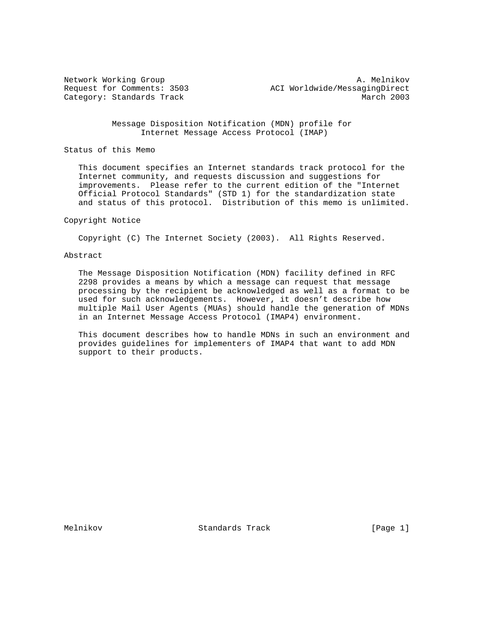Network Working Group and A. Melnikov A. Melnikov Request for Comments: 3503 ACI Worldwide/MessagingDirect Category: Standards Track March 2003

> Message Disposition Notification (MDN) profile for Internet Message Access Protocol (IMAP)

Status of this Memo

 This document specifies an Internet standards track protocol for the Internet community, and requests discussion and suggestions for improvements. Please refer to the current edition of the "Internet Official Protocol Standards" (STD 1) for the standardization state and status of this protocol. Distribution of this memo is unlimited.

# Copyright Notice

Copyright (C) The Internet Society (2003). All Rights Reserved.

# Abstract

 The Message Disposition Notification (MDN) facility defined in RFC 2298 provides a means by which a message can request that message processing by the recipient be acknowledged as well as a format to be used for such acknowledgements. However, it doesn't describe how multiple Mail User Agents (MUAs) should handle the generation of MDNs in an Internet Message Access Protocol (IMAP4) environment.

 This document describes how to handle MDNs in such an environment and provides guidelines for implementers of IMAP4 that want to add MDN support to their products.

Melnikov Standards Track [Page 1]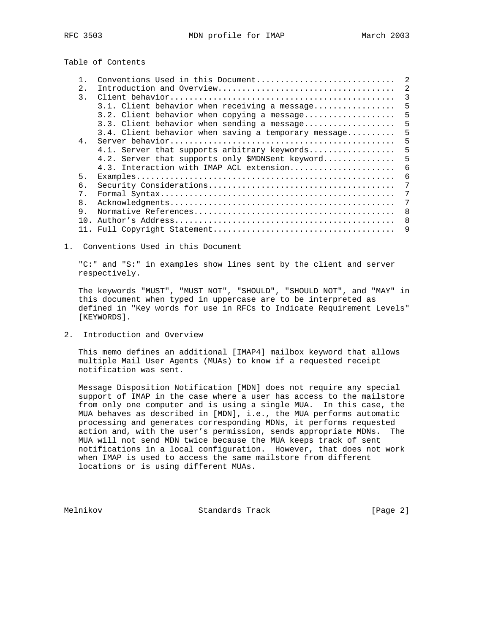Table of Contents

| Conventions Used in this Document | 2                                                                                                                                                                                                                                                                                                                                                   |
|-----------------------------------|-----------------------------------------------------------------------------------------------------------------------------------------------------------------------------------------------------------------------------------------------------------------------------------------------------------------------------------------------------|
|                                   | $\overline{2}$                                                                                                                                                                                                                                                                                                                                      |
|                                   | 3                                                                                                                                                                                                                                                                                                                                                   |
|                                   | .5                                                                                                                                                                                                                                                                                                                                                  |
|                                   | -5                                                                                                                                                                                                                                                                                                                                                  |
|                                   | -5                                                                                                                                                                                                                                                                                                                                                  |
|                                   | 5                                                                                                                                                                                                                                                                                                                                                   |
|                                   | 5                                                                                                                                                                                                                                                                                                                                                   |
|                                   | 5                                                                                                                                                                                                                                                                                                                                                   |
|                                   | 5                                                                                                                                                                                                                                                                                                                                                   |
|                                   | 6                                                                                                                                                                                                                                                                                                                                                   |
|                                   | 6                                                                                                                                                                                                                                                                                                                                                   |
|                                   | 7                                                                                                                                                                                                                                                                                                                                                   |
|                                   | 7                                                                                                                                                                                                                                                                                                                                                   |
|                                   | 7                                                                                                                                                                                                                                                                                                                                                   |
|                                   | -8                                                                                                                                                                                                                                                                                                                                                  |
|                                   | 8                                                                                                                                                                                                                                                                                                                                                   |
|                                   | 9                                                                                                                                                                                                                                                                                                                                                   |
|                                   | 3.1. Client behavior when receiving a message<br>3.2. Client behavior when copying a message<br>3.3. Client behavior when sending a message<br>3.4. Client behavior when saving a temporary message<br>4.1. Server that supports arbitrary keywords<br>4.2. Server that supports only \$MDNSent keyword<br>4.3. Interaction with IMAP ACL extension |

1. Conventions Used in this Document

 "C:" and "S:" in examples show lines sent by the client and server respectively.

 The keywords "MUST", "MUST NOT", "SHOULD", "SHOULD NOT", and "MAY" in this document when typed in uppercase are to be interpreted as defined in "Key words for use in RFCs to Indicate Requirement Levels" [KEYWORDS].

2. Introduction and Overview

 This memo defines an additional [IMAP4] mailbox keyword that allows multiple Mail User Agents (MUAs) to know if a requested receipt notification was sent.

 Message Disposition Notification [MDN] does not require any special support of IMAP in the case where a user has access to the mailstore from only one computer and is using a single MUA. In this case, the MUA behaves as described in [MDN], i.e., the MUA performs automatic processing and generates corresponding MDNs, it performs requested action and, with the user's permission, sends appropriate MDNs. The MUA will not send MDN twice because the MUA keeps track of sent notifications in a local configuration. However, that does not work when IMAP is used to access the same mailstore from different locations or is using different MUAs.

Melnikov Standards Track [Page 2]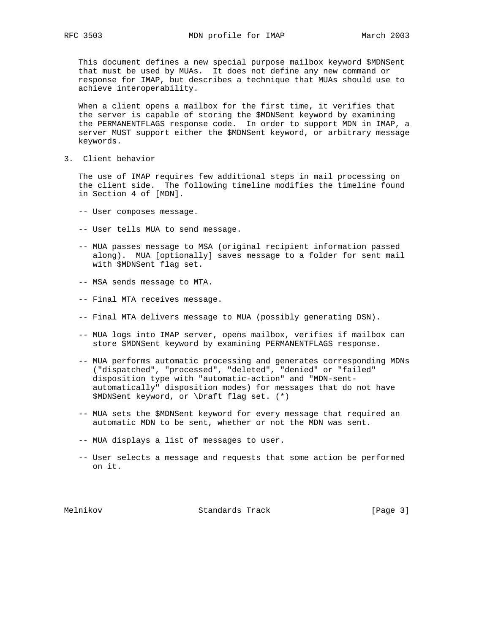This document defines a new special purpose mailbox keyword \$MDNSent that must be used by MUAs. It does not define any new command or response for IMAP, but describes a technique that MUAs should use to achieve interoperability.

 When a client opens a mailbox for the first time, it verifies that the server is capable of storing the \$MDNSent keyword by examining the PERMANENTFLAGS response code. In order to support MDN in IMAP, a server MUST support either the \$MDNSent keyword, or arbitrary message keywords.

3. Client behavior

 The use of IMAP requires few additional steps in mail processing on the client side. The following timeline modifies the timeline found in Section 4 of [MDN].

- -- User composes message.
- -- User tells MUA to send message.
- -- MUA passes message to MSA (original recipient information passed along). MUA [optionally] saves message to a folder for sent mail with \$MDNSent flag set.
- -- MSA sends message to MTA.
- -- Final MTA receives message.
- -- Final MTA delivers message to MUA (possibly generating DSN).
- -- MUA logs into IMAP server, opens mailbox, verifies if mailbox can store \$MDNSent keyword by examining PERMANENTFLAGS response.
- -- MUA performs automatic processing and generates corresponding MDNs ("dispatched", "processed", "deleted", "denied" or "failed" disposition type with "automatic-action" and "MDN-sent automatically" disposition modes) for messages that do not have \$MDNSent keyword, or \Draft flag set. (\*)
- -- MUA sets the \$MDNSent keyword for every message that required an automatic MDN to be sent, whether or not the MDN was sent.
- -- MUA displays a list of messages to user.
- -- User selects a message and requests that some action be performed on it.

Melnikov Standards Track [Page 3]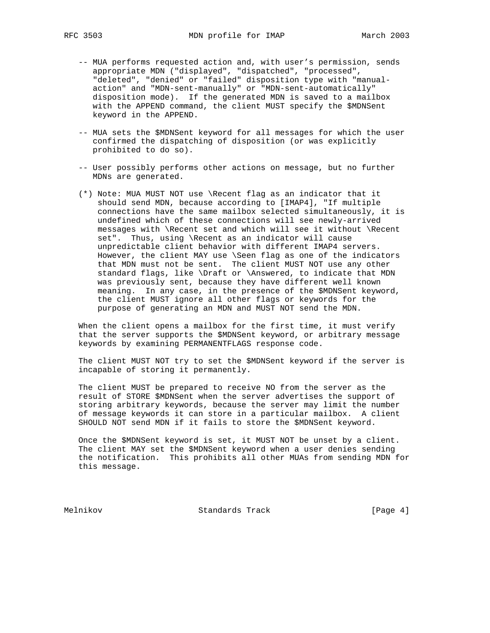- -- MUA performs requested action and, with user's permission, sends appropriate MDN ("displayed", "dispatched", "processed", "deleted", "denied" or "failed" disposition type with "manual action" and "MDN-sent-manually" or "MDN-sent-automatically" disposition mode). If the generated MDN is saved to a mailbox with the APPEND command, the client MUST specify the \$MDNSent keyword in the APPEND.
- -- MUA sets the \$MDNSent keyword for all messages for which the user confirmed the dispatching of disposition (or was explicitly prohibited to do so).
- -- User possibly performs other actions on message, but no further MDNs are generated.
- (\*) Note: MUA MUST NOT use \Recent flag as an indicator that it should send MDN, because according to [IMAP4], "If multiple connections have the same mailbox selected simultaneously, it is undefined which of these connections will see newly-arrived messages with \Recent set and which will see it without \Recent set". Thus, using \Recent as an indicator will cause unpredictable client behavior with different IMAP4 servers. However, the client MAY use \Seen flag as one of the indicators that MDN must not be sent. The client MUST NOT use any other standard flags, like \Draft or \Answered, to indicate that MDN was previously sent, because they have different well known meaning. In any case, in the presence of the \$MDNSent keyword, the client MUST ignore all other flags or keywords for the purpose of generating an MDN and MUST NOT send the MDN.

 When the client opens a mailbox for the first time, it must verify that the server supports the \$MDNSent keyword, or arbitrary message keywords by examining PERMANENTFLAGS response code.

 The client MUST NOT try to set the \$MDNSent keyword if the server is incapable of storing it permanently.

 The client MUST be prepared to receive NO from the server as the result of STORE \$MDNSent when the server advertises the support of storing arbitrary keywords, because the server may limit the number of message keywords it can store in a particular mailbox. A client SHOULD NOT send MDN if it fails to store the \$MDNSent keyword.

 Once the \$MDNSent keyword is set, it MUST NOT be unset by a client. The client MAY set the \$MDNSent keyword when a user denies sending the notification. This prohibits all other MUAs from sending MDN for this message.

Melnikov Standards Track [Page 4]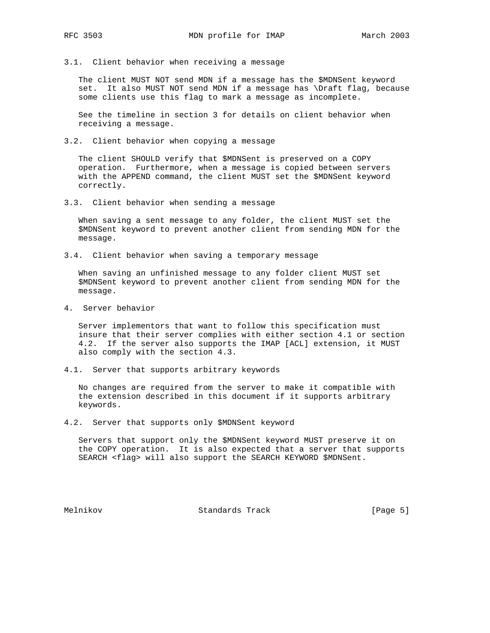3.1. Client behavior when receiving a message

 The client MUST NOT send MDN if a message has the \$MDNSent keyword set. It also MUST NOT send MDN if a message has \Draft flag, because some clients use this flag to mark a message as incomplete.

 See the timeline in section 3 for details on client behavior when receiving a message.

3.2. Client behavior when copying a message

 The client SHOULD verify that \$MDNSent is preserved on a COPY operation. Furthermore, when a message is copied between servers with the APPEND command, the client MUST set the \$MDNSent keyword correctly.

3.3. Client behavior when sending a message

 When saving a sent message to any folder, the client MUST set the \$MDNSent keyword to prevent another client from sending MDN for the message.

3.4. Client behavior when saving a temporary message

 When saving an unfinished message to any folder client MUST set \$MDNSent keyword to prevent another client from sending MDN for the message.

4. Server behavior

 Server implementors that want to follow this specification must insure that their server complies with either section 4.1 or section 4.2. If the server also supports the IMAP [ACL] extension, it MUST also comply with the section 4.3.

4.1. Server that supports arbitrary keywords

 No changes are required from the server to make it compatible with the extension described in this document if it supports arbitrary keywords.

4.2. Server that supports only \$MDNSent keyword

 Servers that support only the \$MDNSent keyword MUST preserve it on the COPY operation. It is also expected that a server that supports SEARCH <flag> will also support the SEARCH KEYWORD \$MDNSent.

Melnikov Standards Track [Page 5]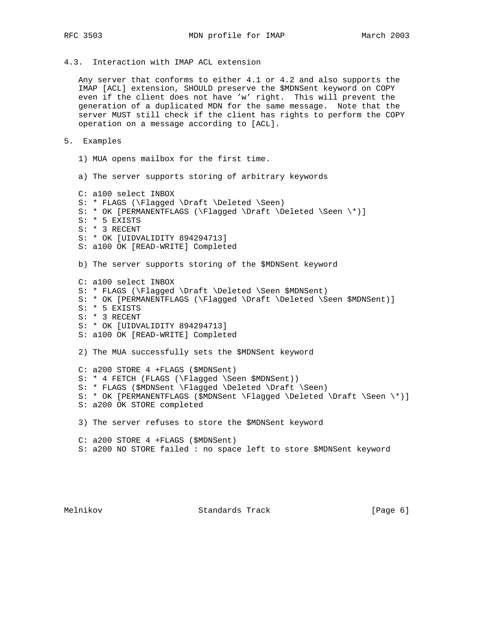# 4.3. Interaction with IMAP ACL extension

 Any server that conforms to either 4.1 or 4.2 and also supports the IMAP [ACL] extension, SHOULD preserve the \$MDNSent keyword on COPY even if the client does not have 'w' right. This will prevent the generation of a duplicated MDN for the same message. Note that the server MUST still check if the client has rights to perform the COPY operation on a message according to [ACL].

### 5. Examples

- 1) MUA opens mailbox for the first time.
- a) The server supports storing of arbitrary keywords

 C: a100 select INBOX S: \* FLAGS (\Flagged \Draft \Deleted \Seen) S: \* OK [PERMANENTFLAGS (\Flagged \Draft \Deleted \Seen \\*)] S: \* 5 EXISTS S: \* 3 RECENT S: \* OK [UIDVALIDITY 894294713] S: a100 OK [READ-WRITE] Completed b) The server supports storing of the \$MDNSent keyword C: a100 select INBOX S: \* FLAGS (\Flagged \Draft \Deleted \Seen \$MDNSent) S: \* OK [PERMANENTFLAGS (\Flagged \Draft \Deleted \Seen \$MDNSent)] S: \* 5 EXISTS S: \* 3 RECENT S: \* OK [UIDVALIDITY 894294713] S: a100 OK [READ-WRITE] Completed 2) The MUA successfully sets the \$MDNSent keyword C: a200 STORE 4 +FLAGS (\$MDNSent) S: \* 4 FETCH (FLAGS (\Flagged \Seen \$MDNSent)) S: \* FLAGS (\$MDNSent \Flagged \Deleted \Draft \Seen) S: \* OK [PERMANENTFLAGS (\$MDNSent \Flagged \Deleted \Draft \Seen \\*)] S: a200 OK STORE completed 3) The server refuses to store the \$MDNSent keyword C: a200 STORE 4 +FLAGS (\$MDNSent) S: a200 NO STORE failed : no space left to store \$MDNSent keyword

Melnikov Standards Track [Page 6]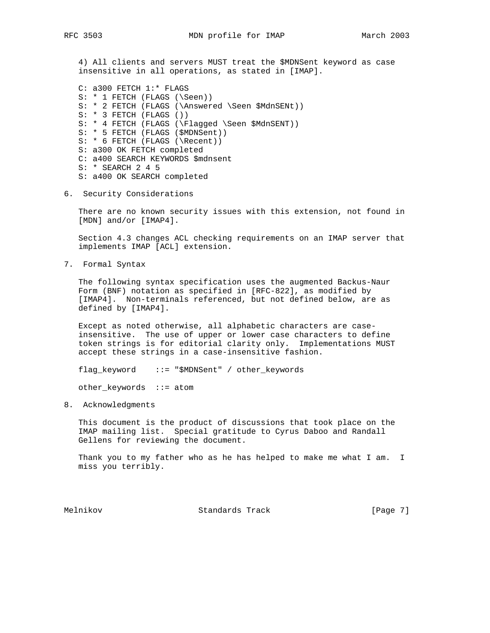4) All clients and servers MUST treat the \$MDNSent keyword as case insensitive in all operations, as stated in [IMAP].

 C: a300 FETCH 1:\* FLAGS S: \* 1 FETCH (FLAGS (\Seen)) S: \* 2 FETCH (FLAGS (\Answered \Seen \$MdnSENt)) S: \* 3 FETCH (FLAGS ()) S: \* 4 FETCH (FLAGS (\Flagged \Seen \$MdnSENT)) S: \* 5 FETCH (FLAGS (\$MDNSent)) S: \* 6 FETCH (FLAGS (\Recent)) S: a300 OK FETCH completed C: a400 SEARCH KEYWORDS \$mdnsent S: \* SEARCH 2 4 5 S: a400 OK SEARCH completed

6. Security Considerations

 There are no known security issues with this extension, not found in [MDN] and/or [IMAP4].

 Section 4.3 changes ACL checking requirements on an IMAP server that implements IMAP [ACL] extension.

7. Formal Syntax

 The following syntax specification uses the augmented Backus-Naur Form (BNF) notation as specified in [RFC-822], as modified by [IMAP4]. Non-terminals referenced, but not defined below, are as defined by [IMAP4].

 Except as noted otherwise, all alphabetic characters are case insensitive. The use of upper or lower case characters to define token strings is for editorial clarity only. Implementations MUST accept these strings in a case-insensitive fashion.

flag\_keyword ::= "\$MDNSent" / other\_keywords

other\_keywords ::= atom

8. Acknowledgments

 This document is the product of discussions that took place on the IMAP mailing list. Special gratitude to Cyrus Daboo and Randall Gellens for reviewing the document.

Thank you to my father who as he has helped to make me what I am. I miss you terribly.

Melnikov Standards Track [Page 7]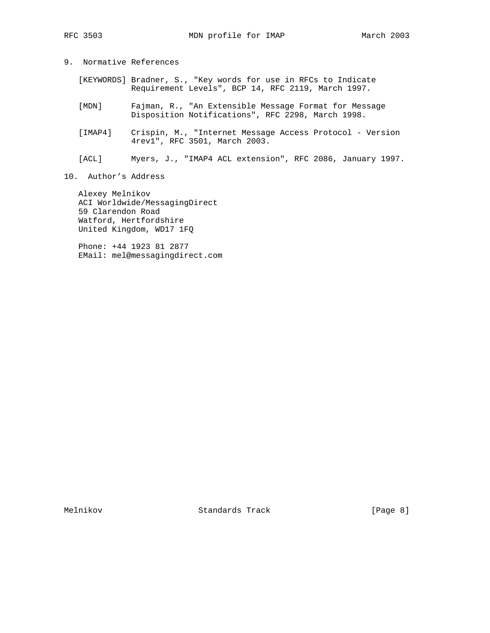- 9. Normative References
	- [KEYWORDS] Bradner, S., "Key words for use in RFCs to Indicate Requirement Levels", BCP 14, RFC 2119, March 1997.
	- [MDN] Fajman, R., "An Extensible Message Format for Message Disposition Notifications", RFC 2298, March 1998.
	- [IMAP4] Crispin, M., "Internet Message Access Protocol Version 4rev1", RFC 3501, March 2003.
	- [ACL] Myers, J., "IMAP4 ACL extension", RFC 2086, January 1997.
- 10. Author's Address

 Alexey Melnikov ACI Worldwide/MessagingDirect 59 Clarendon Road Watford, Hertfordshire United Kingdom, WD17 1FQ

 Phone: +44 1923 81 2877 EMail: mel@messagingdirect.com

Melnikov Standards Track [Page 8]